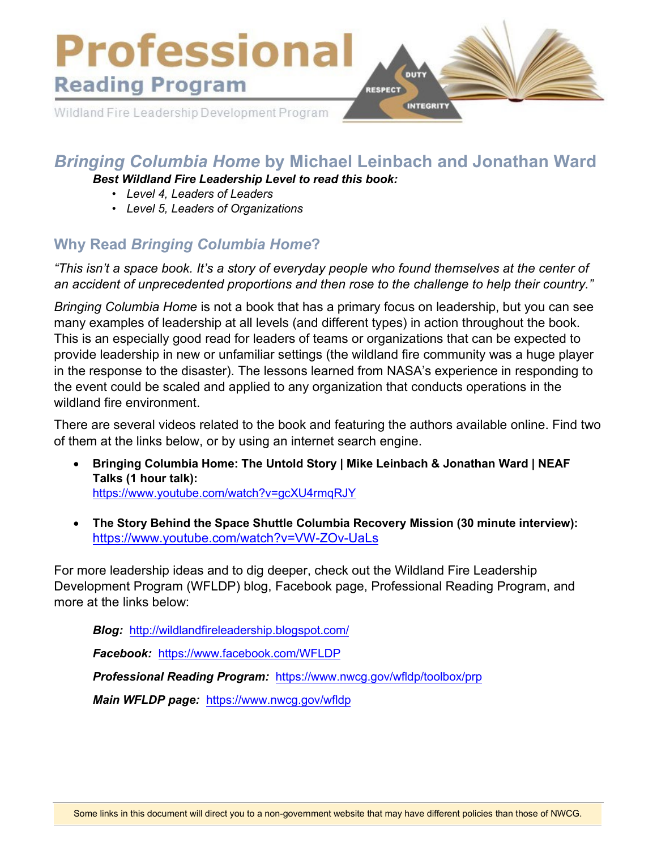

## *Bringing Columbia Home* **by Michael Leinbach and Jonathan Ward**

*Best Wildland Fire Leadership Level to read this book:* 

- *Level 4, Leaders of Leaders*
- *• Level 5, Leaders of Organizations*

# **Why Read** *Bringing Columbia Home***?**

*"This isn't a space book. It's a story of everyday people who found themselves at the center of an accident of unprecedented proportions and then rose to the challenge to help their country."* 

*Bringing Columbia Home* is not a book that has a primary focus on leadership, but you can see many examples of leadership at all levels (and different types) in action throughout the book. This is an especially good read for leaders of teams or organizations that can be expected to provide leadership in new or unfamiliar settings (the wildland fire community was a huge player in the response to the disaster). The lessons learned from NASA's experience in responding to the event could be scaled and applied to any organization that conducts operations in the wildland fire environment.

There are several videos related to the book and featuring the authors available online. Find two of them at the links below, or by using an internet search engine.

- **Bringing Columbia Home: The Untold Story | Mike Leinbach & Jonathan Ward | NEAF Talks (1 hour talk):** <https://www.youtube.com/watch?v=gcXU4rmqRJY>
- **The Story Behind the Space Shuttle Columbia Recovery Mission (30 minute interview):** <https://www.youtube.com/watch?v=VW-ZOv-UaLs>

For more leadership ideas and to dig deeper, check out the Wildland Fire Leadership Development Program (WFLDP) blog, Facebook page, Professional Reading Program, and more at the links below:

*Blog:* <http://wildlandfireleadership.blogspot.com/>

*Facebook:* <https://www.facebook.com/WFLDP>

*Professional Reading Program:* <https://www.nwcg.gov/wfldp/toolbox/prp>

*Main WFLDP page:* [https://www.](https://www.nwcg.gov/wfldp)nwcg.gov/wfldp